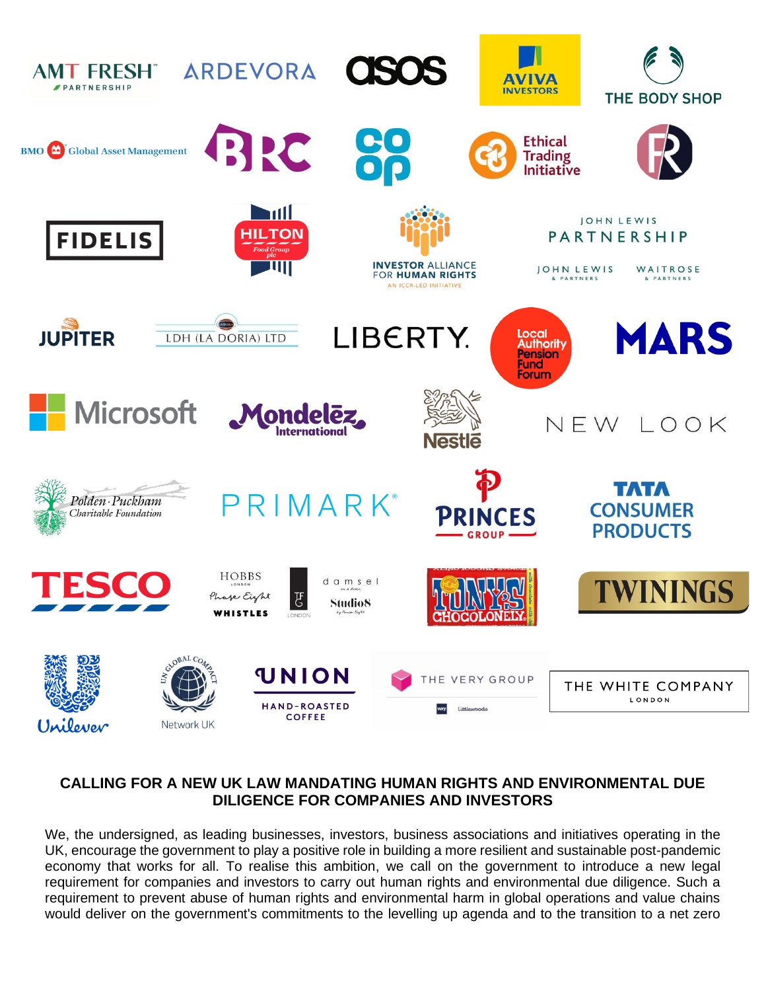

## **CALLING FOR A NEW UK LAW MANDATING HUMAN RIGHTS AND ENVIRONMENTAL DUE DILIGENCE FOR COMPANIES AND INVESTORS**

We, the undersigned, as leading businesses, investors, business associations and initiatives operating in the UK, encourage the government to play a positive role in building a more resilient and sustainable post-pandemic economy that works for all. To realise this ambition, we call on the government to introduce a new legal requirement for companies and investors to carry out human rights and environmental due diligence. Such a requirement to prevent abuse of human rights and environmental harm in global operations and value chains would deliver on the government's commitments to the levelling up agenda and to the transition to a net zero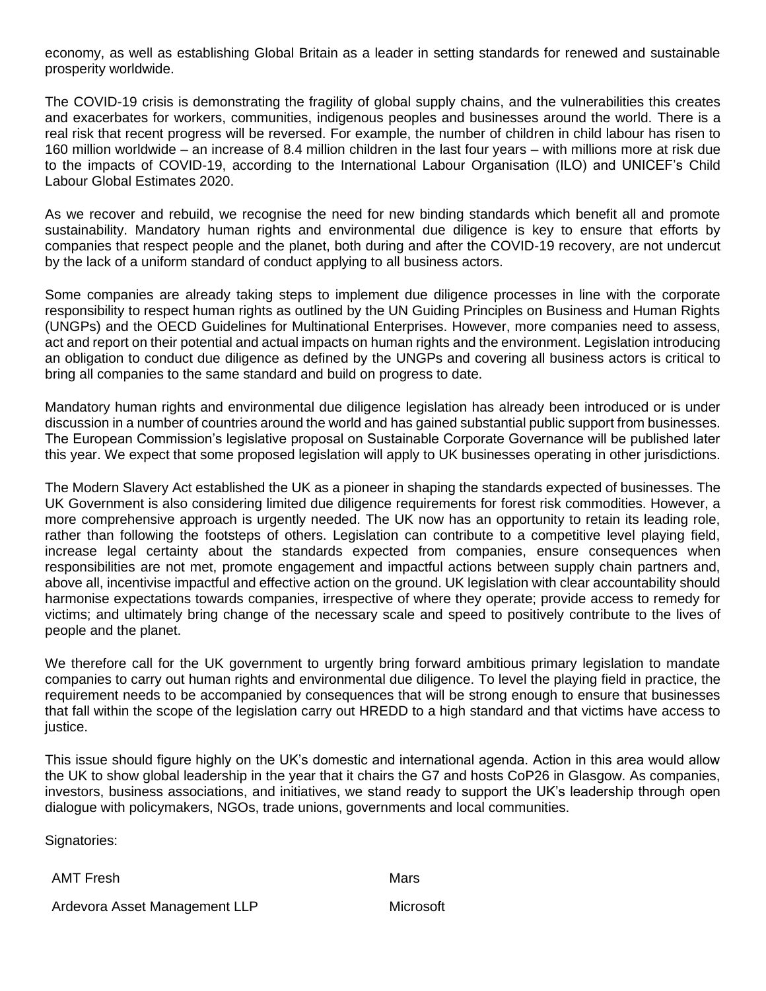economy, as well as establishing Global Britain as a leader in setting standards for renewed and sustainable prosperity worldwide.

The COVID-19 crisis is demonstrating the fragility of global supply chains, and the vulnerabilities this creates and exacerbates for workers, communities, indigenous peoples and businesses around the world. There is a real risk that recent progress will be reversed. For example, the number of children in child labour has risen to 160 million worldwide – an increase of 8.4 million children in the last four years – with millions more at risk due to the impacts of COVID-19, according to the International Labour Organisation (ILO) and UNICEF's [Child](https://data.unicef.org/resources/child-labour-2020-global-estimates-trends-and-the-road-forward/)  [Labour Global Estimates 2020.](https://data.unicef.org/resources/child-labour-2020-global-estimates-trends-and-the-road-forward/)

As we recover and rebuild, we recognise the need for new binding standards which benefit all and promote sustainability. Mandatory human rights and environmental due diligence is key to ensure that efforts by companies that respect people and the planet, both during and after the COVID-19 recovery, are not undercut by the lack of a uniform standard of conduct applying to all business actors.

Some companies are already taking steps to implement due diligence processes in line with the corporate responsibility to respect human rights as outlined by the UN Guiding Principles on Business and Human Rights (UNGPs) and the OECD Guidelines for Multinational Enterprises. However, more companies need to assess, act and report on their potential and actual impacts on human rights and the environment. Legislation introducing an obligation to conduct due diligence as defined by the UNGPs and covering all business actors is critical to bring all companies to the same standard and build on progress to date.

Mandatory human rights and environmental due diligence legislation has already been introduced or is under discussion in a number of countries around the world and has gained substantial public support from businesses. The European Commission's legislative proposal on Sustainable Corporate Governance will be published later this year. We expect that some proposed legislation will apply to UK businesses operating in other jurisdictions.

The Modern Slavery Act established the UK as a pioneer in shaping the standards expected of businesses. The UK Government is also considering limited due diligence requirements for forest risk commodities. However, a more comprehensive approach is urgently needed. The UK now has an opportunity to retain its leading role, rather than following the footsteps of others. Legislation can contribute to a competitive level playing field, increase legal certainty about the standards expected from companies, ensure consequences when responsibilities are not met, promote engagement and impactful actions between supply chain partners and, above all, incentivise impactful and effective action on the ground. UK legislation with clear accountability should harmonise expectations towards companies, irrespective of where they operate; provide access to remedy for victims; and ultimately bring change of the necessary scale and speed to positively contribute to the lives of people and the planet.

We therefore call for the UK government to urgently bring forward ambitious primary legislation to mandate companies to carry out human rights and environmental due diligence. To level the playing field in practice, the requirement needs to be accompanied by consequences that will be strong enough to ensure that businesses that fall within the scope of the legislation carry out HREDD to a high standard and that victims have access to justice.

This issue should figure highly on the UK's domestic and international agenda. Action in this area would allow the UK to show global leadership in the year that it chairs the G7 and hosts CoP26 in Glasgow. As companies, investors, business associations, and initiatives, we stand ready to support the UK's leadership through open dialogue with policymakers, NGOs, trade unions, governments and local communities.

Signatories:

AMT Fresh Mars

Ardevora Asset Management LLP Microsoft